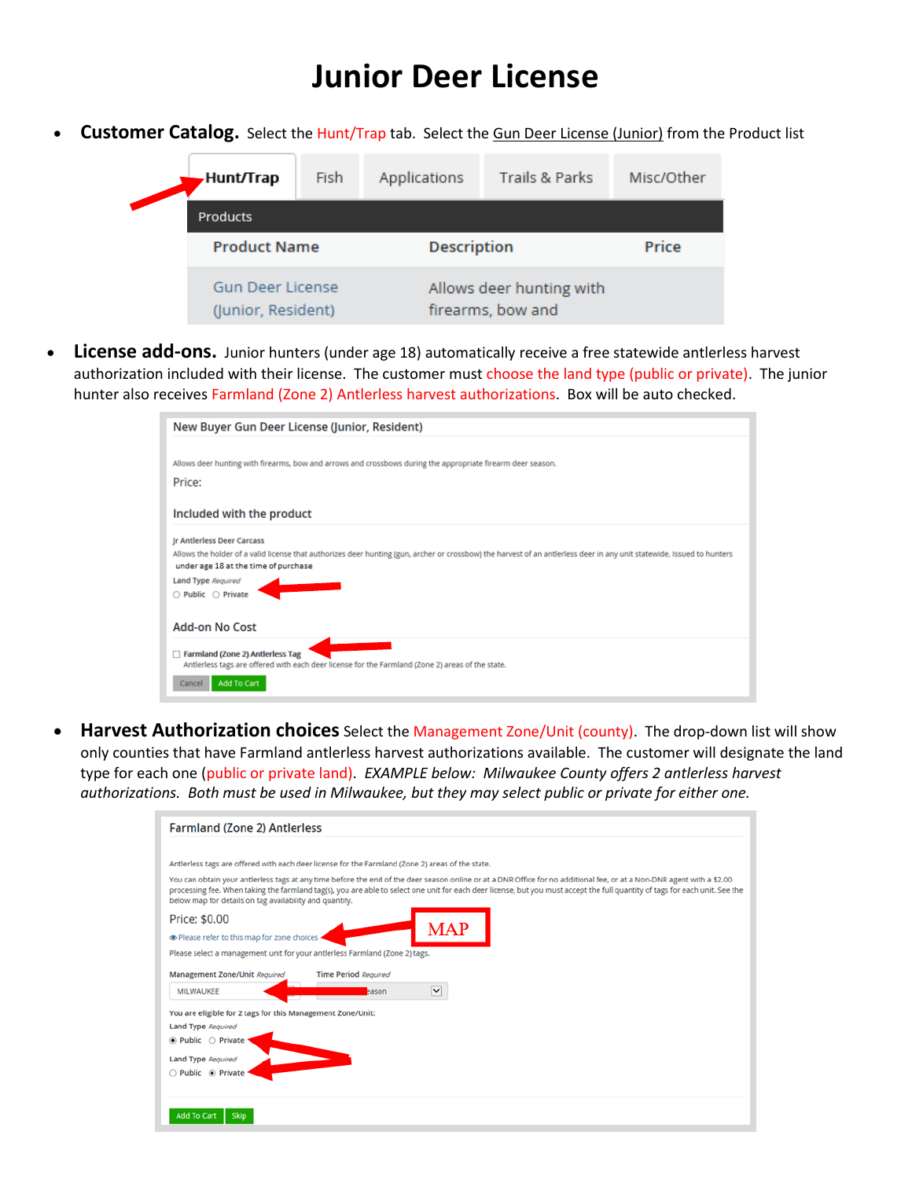# **Junior Deer License**

• **Customer Catalog.** Select the Hunt/Trap tab. Select the Gun Deer License (Junior) from the Product list



• **License add-ons.** Junior hunters (under age 18) automatically receive a free statewide antlerless harvest authorization included with their license. The customer must choose the land type (public or private). The junior hunter also receives Farmland (Zone 2) Antlerless harvest authorizations. Box will be auto checked.

| New Buyer Gun Deer License (Junior, Resident)                                                                                                                                                                  |
|----------------------------------------------------------------------------------------------------------------------------------------------------------------------------------------------------------------|
|                                                                                                                                                                                                                |
| Allows deer hunting with firearms, bow and arrows and crossbows during the appropriate firearm deer season.                                                                                                    |
| Price:                                                                                                                                                                                                         |
| Included with the product                                                                                                                                                                                      |
| <b>Jr Antlerless Deer Carcass</b>                                                                                                                                                                              |
| Allows the holder of a valid license that authorizes deer hunting (gun, archer or crossbow) the harvest of an antlerless deer in any unit statewide. Issued to hunters<br>under age 18 at the time of purchase |
| <b>Land Type Required</b>                                                                                                                                                                                      |
| $\bigcirc$ Public $\bigcirc$ Private                                                                                                                                                                           |
| <b>Add-on No Cost</b>                                                                                                                                                                                          |
| Farmland (Zone 2) Antierless Tag<br>Antierless tags are offered with each deer license for the Farmland (Zone 2) areas of the state.                                                                           |
| <b>Add To Cart</b><br>Cancel                                                                                                                                                                                   |

• **Harvest Authorization choices** Select the Management Zone/Unit (county). The drop-down list will show only counties that have Farmland antlerless harvest authorizations available. The customer will designate the land type for each one (public or private land). *EXAMPLE below: Milwaukee County offers 2 antlerless harvest authorizations. Both must be used in Milwaukee, but they may select public or private for either one.*

| <b>Farmland (Zone 2) Antierless</b>                                                              |                                                                                                                                                                                                                                                                                                                                                        |  |
|--------------------------------------------------------------------------------------------------|--------------------------------------------------------------------------------------------------------------------------------------------------------------------------------------------------------------------------------------------------------------------------------------------------------------------------------------------------------|--|
|                                                                                                  |                                                                                                                                                                                                                                                                                                                                                        |  |
| Antierless tags are offered with each deer license for the Farmland (Zone 2) areas of the state. |                                                                                                                                                                                                                                                                                                                                                        |  |
| below map for details on tag availability and quantity.                                          | You can obtain your antierless tags at any time before the end of the deer season online or at a DNR Office for no additional fee, or at a Non-DNR agent with a \$2.00<br>processing fee. When taking the farmland tag(s), you are able to select one unit for each deer license, but you must accept the full quantity of tags for each unit. See the |  |
| Price: \$0.00                                                                                    |                                                                                                                                                                                                                                                                                                                                                        |  |
| The Please refer to this map for zone choices                                                    | MAP                                                                                                                                                                                                                                                                                                                                                    |  |
| Please select a management unit for your antierless Farmland (Zone 2) tags.                      |                                                                                                                                                                                                                                                                                                                                                        |  |
| Management Zone/Unit Required                                                                    | <b>Time Period Required</b>                                                                                                                                                                                                                                                                                                                            |  |
| <b>MILWAUKEE</b>                                                                                 | ×<br>eason                                                                                                                                                                                                                                                                                                                                             |  |
| You are eligible for 2 tags for this Management Zone/Unit:                                       |                                                                                                                                                                                                                                                                                                                                                        |  |
| <b>Land Type Required</b>                                                                        |                                                                                                                                                                                                                                                                                                                                                        |  |
| $\bullet$ Public $\circ$ Private                                                                 |                                                                                                                                                                                                                                                                                                                                                        |  |
| <b>Land Type Required</b>                                                                        |                                                                                                                                                                                                                                                                                                                                                        |  |
| ○ Public ● Private                                                                               |                                                                                                                                                                                                                                                                                                                                                        |  |
|                                                                                                  |                                                                                                                                                                                                                                                                                                                                                        |  |
|                                                                                                  |                                                                                                                                                                                                                                                                                                                                                        |  |
| <b>Add To Cart</b><br><b>Skip</b>                                                                |                                                                                                                                                                                                                                                                                                                                                        |  |